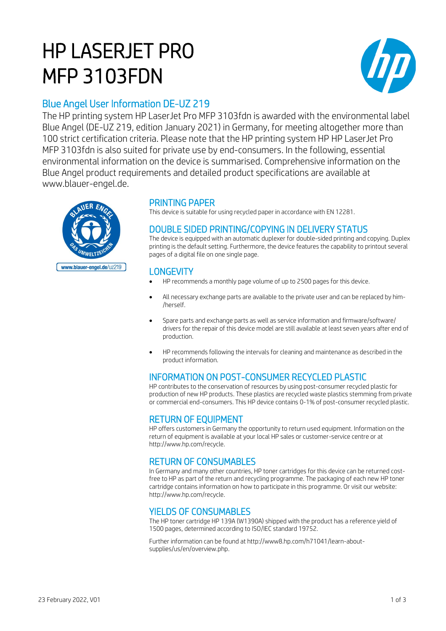# HP LASERJET PRO MFP 3103FDN



# Blue Angel User Information DE-UZ 219

The HP printing system HP LaserJet Pro MFP 3103fdn is awarded with the environmental label Blue Angel (DE-UZ 219, edition January 2021) in Germany, for meeting altogether more than 100 strict certification criteria. Please note that the HP printing system HP HP LaserJet Pro MFP 3103fdn is also suited for private use by end-consumers. In the following, essential environmental information on the device is summarised. Comprehensive information on the Blue Angel product requirements and detailed product specifications are available at www.blauer-engel.de.



# PRINTING PAPER

This device is suitable for using recycled paper in accordance with EN 12281.

## DOUBLE SIDED PRINTING/COPYING IN DELIVERY STATUS

The device is equipped with an automatic duplexer for double-sided printing and copying. Duplex printing is the default setting. Furthermore, the device features the capability to printout several pages of a digital file on one single page.

## **LONGEVITY**

- HP recommends a monthly page volume of up to 2500 pages for this device.
- All necessary exchange parts are available to the private user and can be replaced by him- /herself.
- Spare parts and exchange parts as well as service information and firmware/software/ drivers for the repair of this device model are still available at least seven years after end of production.
- HP recommends following the intervals for cleaning and maintenance as described in the product information.

# INFORMATION ON POST-CONSUMER RECYCLED PLASTIC

HP contributes to the conservation of resources by using post-consumer recycled plastic for production of new HP products. These plastics are recycled waste plastics stemming from private or commercial end-consumers. This HP device contains 0-1% of post-consumer recycled plastic.

#### RETURN OF EQUIPMENT

HP offers customers in Germany the opportunity to return used equipment. Information on the return of equipment is available at your local HP sales or customer-service centre or at http://www.hp.com/recycle.

# RETURN OF CONSUMABLES

In Germany and many other countries, HP toner cartridges for this device can be returned costfree to HP as part of the return and recycling programme. The packaging of each new HP toner cartridge contains information on how to participate in this programme. Or visit our website: http://www.hp.com/recycle.

### YIELDS OF CONSUMABLES

The HP toner cartridge HP 139A (W1390A) shipped with the product has a reference yield of 1500 pages, determined according to ISO/IEC standard 19752.

Further information can be found at http://www8.hp.com/h71041/learn-aboutsupplies/us/en/overview.php.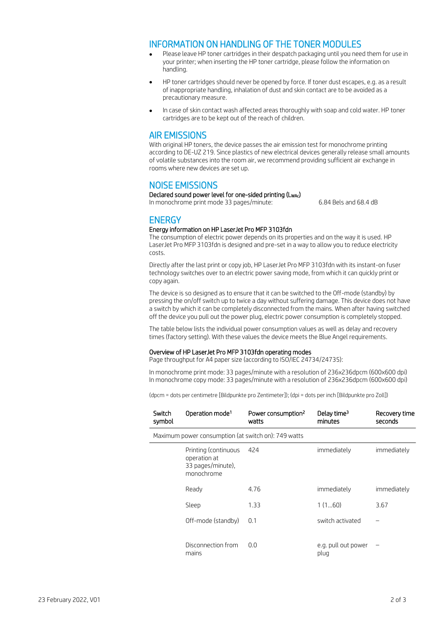#### INFORMATION ON HANDLING OF THE TONER MODULES

- Please leave HP toner cartridges in their despatch packaging until you need them for use in your printer; when inserting the HP toner cartridge, please follow the information on handling.
- HP toner cartridges should never be opened by force. If toner dust escapes, e.g. as a result of inappropriate handling, inhalation of dust and skin contact are to be avoided as a precautionary measure.
- In case of skin contact wash affected areas thoroughly with soap and cold water. HP toner cartridges are to be kept out of the reach of children.

#### AIR EMISSIONS

With original HP toners, the device passes the air emission test for monochrome printing according to DE-UZ 219. Since plastics of new electrical devices generally release small amounts of volatile substances into the room air, we recommend providing sufficient air exchange in rooms where new devices are set up.

#### NOISE EMISSIONS

Declared sound power level for one-sided printing (LwAc) In monochrome print mode 33 pages/minute: 6.84 Bels and 68.4 dB

#### **ENERGY**

#### Energy information on HP LaserJet Pro MFP 3103fdn

The consumption of electric power depends on its properties and on the way it is used. HP LaserJet Pro MFP 3103fdn is designed and pre-set in a way to allow you to reduce electricity costs.

Directly after the last print or copy job, HP LaserJet Pro MFP 3103fdn with its instant-on fuser technology switches over to an electric power saving mode, from which it can quickly print or copy again.

The device is so designed as to ensure that it can be switched to the Off-mode (standby) by pressing the on/off switch up to twice a day without suffering damage. This device does not have a switch by which it can be completely disconnected from the mains. When after having switched off the device you pull out the power plug, electric power consumption is completely stopped.

The table below lists the individual power consumption values as well as delay and recovery times (factory setting). With these values the device meets the Blue Angel requirements.

#### Overview of HP LaserJet Pro MFP 3103fdn operating modes

Page throughput for A4 paper size (according to ISO/IEC 24734/24735):

In monochrome print mode: 33 pages/minute with a resolution of 236x236dpcm (600x600 dpi) In monochrome copy mode: 33 pages/minute with a resolution of 236x236dpcm (600x600 dpi)

(dpcm = dots per centimetre [Bildpunkte pro Zentimeter]); (dpi = dots per inch [Bildpunkte pro Zoll])

| Switch<br>symbol                                    | Operation mode <sup>1</sup>                                             | Power consumption <sup>2</sup><br>watts | Delay time <sup>3</sup><br>minutes | Recovery time<br>seconds |
|-----------------------------------------------------|-------------------------------------------------------------------------|-----------------------------------------|------------------------------------|--------------------------|
| Maximum power consumption (at switch on): 749 watts |                                                                         |                                         |                                    |                          |
|                                                     | Printing (continuous<br>operation at<br>33 pages/minute),<br>monochrome | 424                                     | immediately                        | immediately              |
|                                                     | Ready                                                                   | 4.76                                    | immediately                        | immediately              |
|                                                     | Sleep                                                                   | 1.33                                    | 1(160)                             | 3.67                     |
|                                                     | Off-mode (standby)                                                      | 0.1                                     | switch activated                   |                          |
|                                                     | Disconnection from<br>mains                                             | 0.0                                     | e.g. pull out power<br>plug        |                          |